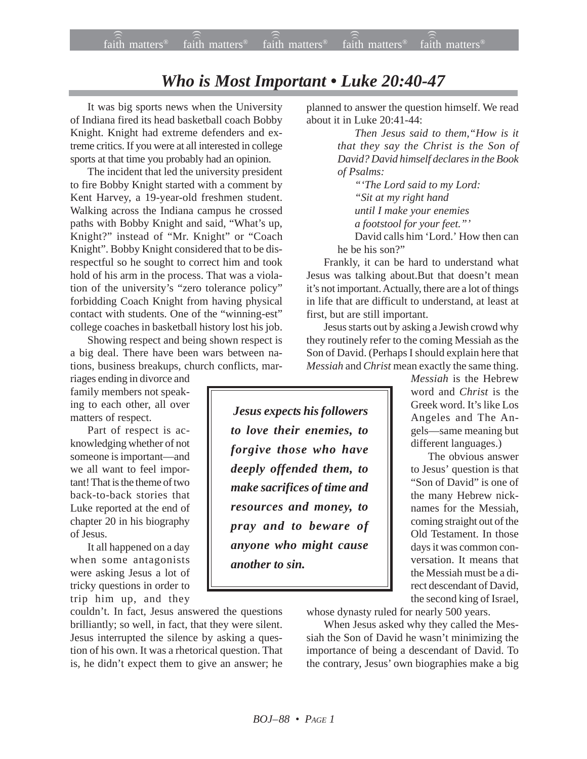## *Who is Most Important • Luke 20:40-47*

It was big sports news when the University of Indiana fired its head basketball coach Bobby Knight. Knight had extreme defenders and extreme critics. If you were at all interested in college sports at that time you probably had an opinion.

The incident that led the university president to fire Bobby Knight started with a comment by Kent Harvey, a 19-year-old freshmen student. Walking across the Indiana campus he crossed paths with Bobby Knight and said, "What's up, Knight?" instead of "Mr. Knight" or "Coach Knight". Bobby Knight considered that to be disrespectful so he sought to correct him and took hold of his arm in the process. That was a violation of the university's "zero tolerance policy" forbidding Coach Knight from having physical contact with students. One of the "winning-est" college coaches in basketball history lost his job.

Showing respect and being shown respect is a big deal. There have been wars between nations, business breakups, church conflicts, mar-

riages ending in divorce and family members not speaking to each other, all over matters of respect.

Part of respect is acknowledging whether of not someone is important—and we all want to feel important! That is the theme of two back-to-back stories that Luke reported at the end of chapter 20 in his biography of Jesus.

It all happened on a day when some antagonists were asking Jesus a lot of tricky questions in order to trip him up, and they

couldn't. In fact, Jesus answered the questions brilliantly; so well, in fact, that they were silent. Jesus interrupted the silence by asking a question of his own. It was a rhetorical question. That is, he didn't expect them to give an answer; he

planned to answer the question himself. We read about it in Luke 20:41-44:

> *Then Jesus said to them,"How is it that they say the Christ is the Son of David? David himself declares in the Book of Psalms:*

*"'The Lord said to my Lord: "Sit at my right hand until I make your enemies a footstool for your feet."'* David calls him 'Lord.' How then can

he be his son?"

Frankly, it can be hard to understand what Jesus was talking about.But that doesn't mean it's not important. Actually, there are a lot of things in life that are difficult to understand, at least at first, but are still important.

Jesus starts out by asking a Jewish crowd why they routinely refer to the coming Messiah as the Son of David. (Perhaps I should explain here that *Messiah* and *Christ* mean exactly the same thing.

> *Messiah* is the Hebrew word and *Christ* is the Greek word. It's like Los Angeles and The Angels—same meaning but different languages.)

> The obvious answer to Jesus' question is that "Son of David" is one of the many Hebrew nicknames for the Messiah, coming straight out of the Old Testament. In those days it was common conversation. It means that the Messiah must be a direct descendant of David, the second king of Israel,

whose dynasty ruled for nearly 500 years.

When Jesus asked why they called the Messiah the Son of David he wasn't minimizing the importance of being a descendant of David. To the contrary, Jesus' own biographies make a big

 *Jesus expects his followers to love their enemies, to forgive those who have deeply offended them, to make sacrifices of time and resources and money, to pray and to beware of anyone who might cause another to sin.*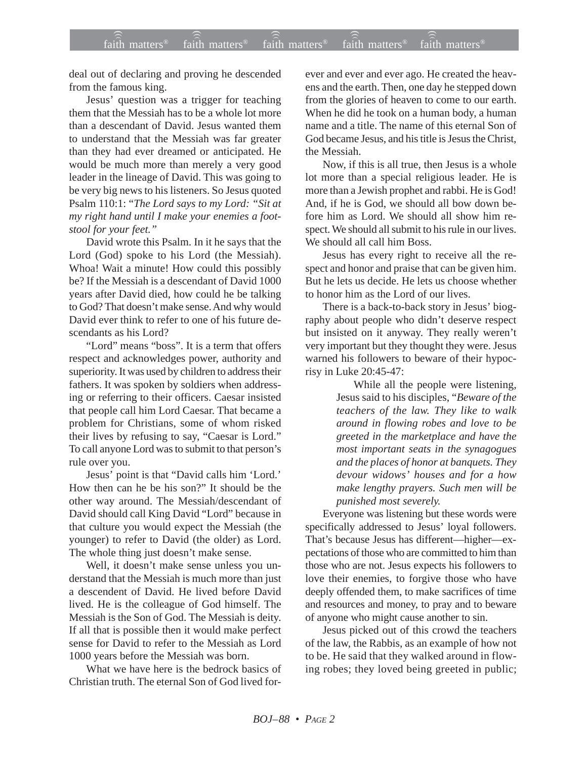deal out of declaring and proving he descended from the famous king.

Jesus' question was a trigger for teaching them that the Messiah has to be a whole lot more than a descendant of David. Jesus wanted them to understand that the Messiah was far greater than they had ever dreamed or anticipated. He would be much more than merely a very good leader in the lineage of David. This was going to be very big news to his listeners. So Jesus quoted Psalm 110:1: "*The Lord says to my Lord: "Sit at my right hand until I make your enemies a footstool for your feet."*

David wrote this Psalm. In it he says that the Lord (God) spoke to his Lord (the Messiah). Whoa! Wait a minute! How could this possibly be? If the Messiah is a descendant of David 1000 years after David died, how could he be talking to God? That doesn't make sense. And why would David ever think to refer to one of his future descendants as his Lord?

"Lord" means "boss". It is a term that offers respect and acknowledges power, authority and superiority. It was used by children to address their fathers. It was spoken by soldiers when addressing or referring to their officers. Caesar insisted that people call him Lord Caesar. That became a problem for Christians, some of whom risked their lives by refusing to say, "Caesar is Lord." To call anyone Lord was to submit to that person's rule over you.

Jesus' point is that "David calls him 'Lord.' How then can he be his son?" It should be the other way around. The Messiah/descendant of David should call King David "Lord" because in that culture you would expect the Messiah (the younger) to refer to David (the older) as Lord. The whole thing just doesn't make sense.

Well, it doesn't make sense unless you understand that the Messiah is much more than just a descendent of David. He lived before David lived. He is the colleague of God himself. The Messiah is the Son of God. The Messiah is deity. If all that is possible then it would make perfect sense for David to refer to the Messiah as Lord 1000 years before the Messiah was born.

What we have here is the bedrock basics of Christian truth. The eternal Son of God lived for-

ever and ever and ever ago. He created the heavens and the earth. Then, one day he stepped down from the glories of heaven to come to our earth. When he did he took on a human body, a human name and a title. The name of this eternal Son of God became Jesus, and his title is Jesus the Christ, the Messiah.

Now, if this is all true, then Jesus is a whole lot more than a special religious leader. He is more than a Jewish prophet and rabbi. He is God! And, if he is God, we should all bow down before him as Lord. We should all show him respect. We should all submit to his rule in our lives. We should all call him Boss.

Jesus has every right to receive all the respect and honor and praise that can be given him. But he lets us decide. He lets us choose whether to honor him as the Lord of our lives.

There is a back-to-back story in Jesus' biography about people who didn't deserve respect but insisted on it anyway. They really weren't very important but they thought they were. Jesus warned his followers to beware of their hypocrisy in Luke 20:45-47:

> While all the people were listening, Jesus said to his disciples, "*Beware of the teachers of the law. They like to walk around in flowing robes and love to be greeted in the marketplace and have the most important seats in the synagogues and the places of honor at banquets. They devour widows' houses and for a how make lengthy prayers. Such men will be punished most severely.*

Everyone was listening but these words were specifically addressed to Jesus' loyal followers. That's because Jesus has different—higher—expectations of those who are committed to him than those who are not. Jesus expects his followers to love their enemies, to forgive those who have deeply offended them, to make sacrifices of time and resources and money, to pray and to beware of anyone who might cause another to sin.

Jesus picked out of this crowd the teachers of the law, the Rabbis, as an example of how not to be. He said that they walked around in flowing robes; they loved being greeted in public;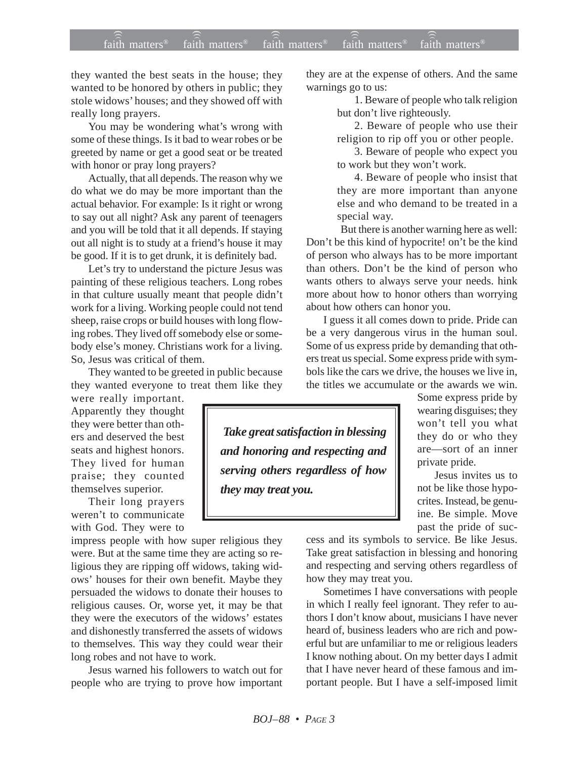## $f$ aith matters® staith matters® staith matters® staith matters® staith matters® faith matters<sup>®</sup> faith matters<sup>®</sup> faith matters

they wanted the best seats in the house; they wanted to be honored by others in public; they stole widows' houses; and they showed off with really long prayers.

You may be wondering what's wrong with some of these things. Is it bad to wear robes or be greeted by name or get a good seat or be treated with honor or pray long prayers?

Actually, that all depends. The reason why we do what we do may be more important than the actual behavior. For example: Is it right or wrong to say out all night? Ask any parent of teenagers and you will be told that it all depends. If staying out all night is to study at a friend's house it may be good. If it is to get drunk, it is definitely bad.

Let's try to understand the picture Jesus was painting of these religious teachers. Long robes in that culture usually meant that people didn't work for a living. Working people could not tend sheep, raise crops or build houses with long flowing robes. They lived off somebody else or somebody else's money. Christians work for a living. So, Jesus was critical of them.

They wanted to be greeted in public because they wanted everyone to treat them like they

were really important. Apparently they thought they were better than others and deserved the best seats and highest honors. They lived for human praise; they counted themselves superior.

Their long prayers weren't to communicate with God. They were to

impress people with how super religious they were. But at the same time they are acting so religious they are ripping off widows, taking widows' houses for their own benefit. Maybe they persuaded the widows to donate their houses to religious causes. Or, worse yet, it may be that they were the executors of the widows' estates and dishonestly transferred the assets of widows to themselves. This way they could wear their long robes and not have to work.

Jesus warned his followers to watch out for people who are trying to prove how important they are at the expense of others. And the same warnings go to us:

> 1. Beware of people who talk religion but don't live righteously.

2. Beware of people who use their religion to rip off you or other people.

3. Beware of people who expect you to work but they won't work.

4. Beware of people who insist that they are more important than anyone else and who demand to be treated in a special way.

But there is another warning here as well: Don't be this kind of hypocrite! on't be the kind of person who always has to be more important than others. Don't be the kind of person who wants others to always serve your needs. hink more about how to honor others than worrying about how others can honor you.

I guess it all comes down to pride. Pride can be a very dangerous virus in the human soul. Some of us express pride by demanding that others treat us special. Some express pride with symbols like the cars we drive, the houses we live in, the titles we accumulate or the awards we win.

 *Take great satisfaction in blessing and honoring and respecting and serving others regardless of how they may treat you.*

Some express pride by wearing disguises; they won't tell you what they do or who they are—sort of an inner private pride.

Jesus invites us to not be like those hypocrites. Instead, be genuine. Be simple. Move past the pride of suc-

cess and its symbols to service. Be like Jesus. Take great satisfaction in blessing and honoring and respecting and serving others regardless of how they may treat you.

Sometimes I have conversations with people in which I really feel ignorant. They refer to authors I don't know about, musicians I have never heard of, business leaders who are rich and powerful but are unfamiliar to me or religious leaders I know nothing about. On my better days I admit that I have never heard of these famous and important people. But I have a self-imposed limit